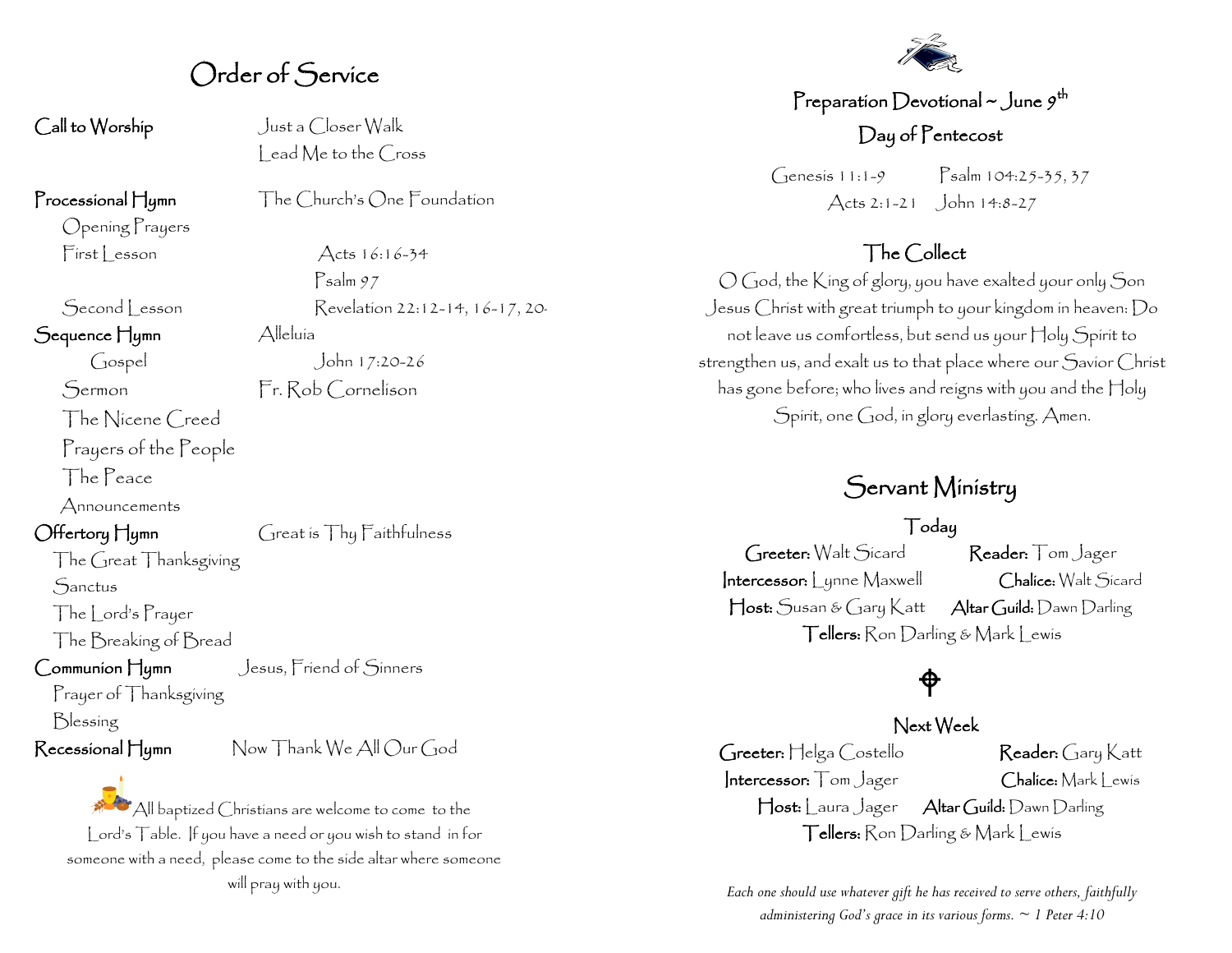## Order of Service

Call to Worship Just a Closer Walk

Processional Hymn The Church's One Foundation

Opening Prayers  $First less on$  Acts  $16:16-34$ 

Second Lesson Revelation 22:12-14, 16-17, 20-

Sequence Hymn Alleluía

The Nicene Creed

Prayers of the People

The Peace

Announcements

Offertory Hymn Great is Thy Faithfulness

The Great Thanksgiving Sanctus

The Lord's Prayer The Breaking of Bread

Communion Hymn Jesus, Friend of Sinners

Prayer of Thanksgiving Blessing

Recessional Hymn Now Thank We All Our God

All baptized Christians are welcome to come to the Lord's Table. If you have a need or you wish to stand in for someone with a need, please come to the side altar where someone will pray with you.



### Preparation Devotional ~ June  $g^\text{th}$ Day of Pentecost

Genesis 11:1-9 Psalm 104:25-35, 37 Acts 2:1-21 John 14:8-27

#### The Collect

O God, the King of glory, you have exalted your only Son Jesus Christ with great triumph to your kingdom in heaven: Do not leave us comfortless, but send us your Holy Spirit to strengthen us, and exalt us to that place where our Savior Christ has gone before; who lives and reigns with you and the Holy Spirit, one God, in glory everlasting. Amen.

### Servant Ministry

#### Today

Greeter: Walt Sicard Reader: Tom Jager Intercessor: Lynne Maxwell Chalice: Walt Sicard Host: Susan & Gary Katt Altar Guild: Dawn Darling Tellers: Ron Darling & Mark Lewis

# $\bigoplus$

#### Next Week

Greeter: Helga Costello Reader: Gary Katt Intercessor: Tom Jager Chalice: Mark Lewis Host: Laura Jager Altar Guild: Dawn Darling Tellers: Ron Darling & Mark Lewis

*Each one should use whatever gift he has received to serve others, faithfully administering God's grace in its various forms. ~ 1 Peter 4:10*

Gospel John 17:20-26 Sermon Fr. Rob Cornelison

Psalm 97

lead Me to the Cross